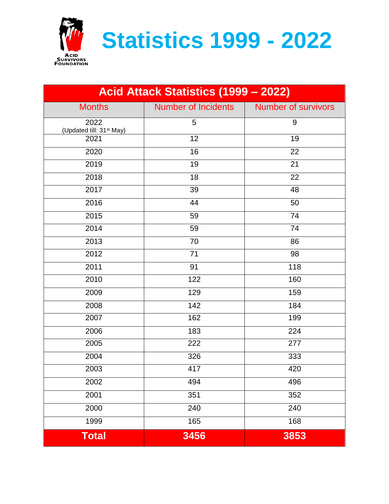

**Statistics 1999 - 2022**

| Acid Attack Statistics (1999 - 2022)         |                            |                            |
|----------------------------------------------|----------------------------|----------------------------|
| <b>Months</b>                                | <b>Number of Incidents</b> | <b>Number of survivors</b> |
| 2022<br>(Updated till: 31 <sup>st</sup> May) | 5                          | 9                          |
| 2021                                         | 12                         | 19                         |
| 2020                                         | 16                         | 22                         |
| 2019                                         | 19                         | 21                         |
| 2018                                         | 18                         | 22                         |
| 2017                                         | 39                         | 48                         |
| 2016                                         | 44                         | 50                         |
| 2015                                         | 59                         | 74                         |
| 2014                                         | 59                         | 74                         |
| 2013                                         | 70                         | 86                         |
| 2012                                         | 71                         | 98                         |
| 2011                                         | 91                         | 118                        |
| 2010                                         | 122                        | 160                        |
| 2009                                         | 129                        | 159                        |
| 2008                                         | 142                        | 184                        |
| 2007                                         | 162                        | 199                        |
| 2006                                         | 183                        | 224                        |
| 2005                                         | 222                        | 277                        |
| 2004                                         | 326                        | 333                        |
| 2003                                         | 417                        | 420                        |
| 2002                                         | 494                        | 496                        |
| 2001                                         | 351                        | 352                        |
| 2000                                         | 240                        | 240                        |
| 1999                                         | 165                        | 168                        |
| <b>Total</b>                                 | 3456                       | 3853                       |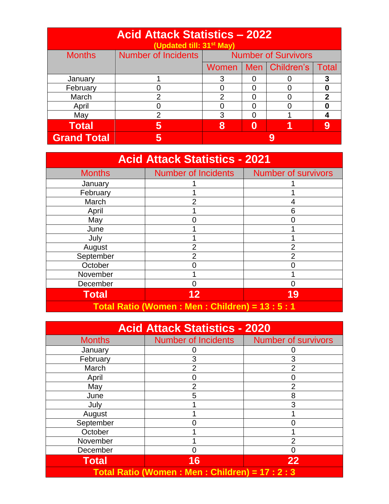| <b>Acid Attack Statistics - 2022</b><br>(Updated till: 31 <sup>st</sup> May) |                     |                            |   |                |              |
|------------------------------------------------------------------------------|---------------------|----------------------------|---|----------------|--------------|
| <b>Months</b>                                                                | Number of Incidents | <b>Number of Survivors</b> |   |                |              |
|                                                                              |                     | <b>Women</b>               |   | Men Children's | <b>Total</b> |
| January                                                                      |                     | 3                          |   |                |              |
| February                                                                     |                     | O                          |   |                |              |
| March                                                                        | $\overline{2}$      | $\overline{2}$             |   |                | 2            |
| April                                                                        | 0                   | 0                          |   |                |              |
| May                                                                          | 2                   | 3                          |   |                |              |
| <b>Total</b>                                                                 | 5                   | 8                          | Ω |                |              |
| <b>Grand Total</b>                                                           | 5                   |                            |   |                |              |

| <b>Acid Attack Statistics - 2021</b>        |                            |                            |
|---------------------------------------------|----------------------------|----------------------------|
| <b>Months</b>                               | <b>Number of Incidents</b> | <b>Number of survivors</b> |
| January                                     |                            |                            |
| February                                    |                            |                            |
| March                                       |                            | 4                          |
| April                                       |                            | 6                          |
| May                                         |                            |                            |
| June                                        |                            |                            |
| July                                        |                            |                            |
| August                                      | 2                          | $\overline{2}$             |
| September                                   | っ                          | $\mathfrak{p}$             |
| October                                     |                            |                            |
| November                                    |                            |                            |
| December                                    |                            |                            |
| <b>Total</b>                                | 12                         | 19                         |
| Total Ratio (Women: Men: Children) = 13:5:1 |                            |                            |

| <b>Acid Attack Statistics - 2020</b>            |                            |                            |
|-------------------------------------------------|----------------------------|----------------------------|
| <b>Months</b>                                   | <b>Number of Incidents</b> | <b>Number of survivors</b> |
| January                                         |                            |                            |
| February                                        | 3                          | 3                          |
| March                                           | 2                          | $\overline{2}$             |
| April                                           |                            | 0                          |
| May                                             |                            | $\overline{2}$             |
| June                                            | 5                          | 8                          |
| July                                            |                            | 3                          |
| August                                          |                            |                            |
| September                                       |                            |                            |
| October                                         |                            |                            |
| November                                        |                            | $\overline{2}$             |
| December                                        |                            | 0                          |
| <b>Total</b>                                    | 16                         | 22                         |
| Total Ratio (Women: Men: Children) = 17 : 2 : 3 |                            |                            |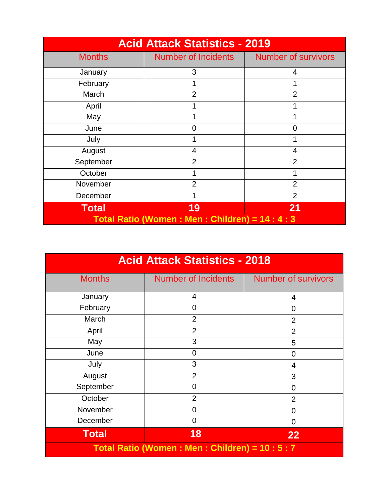| <b>Acid Attack Statistics - 2019</b>          |                            |                            |
|-----------------------------------------------|----------------------------|----------------------------|
| <b>Months</b>                                 | <b>Number of Incidents</b> | <b>Number of survivors</b> |
| January                                       | 3                          | 4                          |
| February                                      |                            |                            |
| March                                         | $\overline{2}$             | $\overline{2}$             |
| April                                         |                            |                            |
| May                                           |                            |                            |
| June                                          | O                          | O                          |
| July                                          |                            |                            |
| August                                        | 4                          | 4                          |
| September                                     | $\overline{2}$             | $\overline{2}$             |
| October                                       |                            |                            |
| November                                      | $\overline{2}$             | $\overline{2}$             |
| December                                      |                            | $\overline{2}$             |
| <b>Total</b>                                  | 19                         | 21                         |
| Total Ratio (Women: Men: Children) = 14: 4: 3 |                            |                            |

| <b>Acid Attack Statistics - 2018</b>          |                            |                            |
|-----------------------------------------------|----------------------------|----------------------------|
| <b>Months</b>                                 | <b>Number of Incidents</b> | <b>Number of survivors</b> |
| January                                       | 4                          | 4                          |
| February                                      | $\Omega$                   | 0                          |
| March                                         | $\overline{2}$             | $\overline{2}$             |
| April                                         | $\overline{2}$             | $\overline{2}$             |
| May                                           | 3                          | 5                          |
| June                                          | 0                          | $\overline{0}$             |
| July                                          | 3                          | 4                          |
| August                                        | $\overline{2}$             | 3                          |
| September                                     | $\overline{0}$             | 0                          |
| October                                       | $\overline{2}$             | $\overline{2}$             |
| November                                      | $\overline{0}$             | 0                          |
| December                                      | $\overline{0}$             | 0                          |
| <b>Total</b>                                  | 18                         | 22                         |
| Total Ratio (Women: Men: Children) = 10: 5: 7 |                            |                            |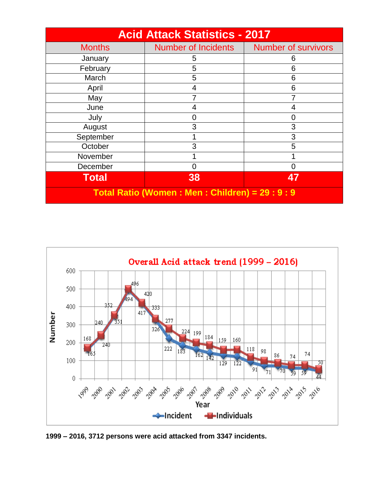| <b>Acid Attack Statistics - 2017</b>          |                            |                            |  |
|-----------------------------------------------|----------------------------|----------------------------|--|
| <b>Months</b>                                 | <b>Number of Incidents</b> | <b>Number of survivors</b> |  |
| January                                       | 5                          | 6                          |  |
| February                                      | 5                          | 6                          |  |
| March                                         | 5                          | 6                          |  |
| April                                         | 4                          | 6                          |  |
| May                                           |                            |                            |  |
| June                                          |                            | 4                          |  |
| July                                          |                            | 0                          |  |
| August                                        | 3                          | 3                          |  |
| September                                     |                            | 3                          |  |
| October                                       | 3                          | 5                          |  |
| November                                      |                            |                            |  |
| December                                      |                            | 0                          |  |
| <b>Total</b>                                  | 38                         | 47                         |  |
| Total Ratio (Women: Men: Children) = 29: 9: 9 |                            |                            |  |



**1999 – 2016, 3712 persons were acid attacked from 3347 incidents.**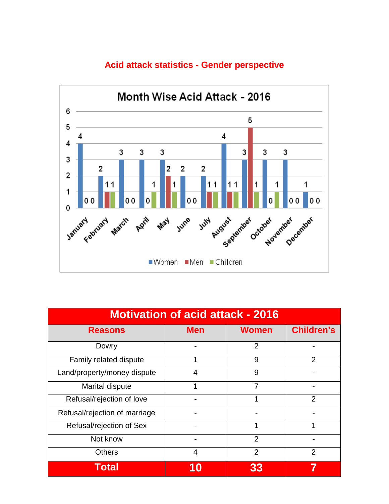

## **Acid attack statistics - Gender perspective**

| <b>Motivation of acid attack - 2016</b> |            |                |                   |
|-----------------------------------------|------------|----------------|-------------------|
| <b>Reasons</b>                          | <b>Men</b> | <b>Women</b>   | <b>Children's</b> |
| Dowry                                   |            | $\overline{2}$ |                   |
| Family related dispute                  |            | 9              | $\overline{2}$    |
| Land/property/money dispute             | 4          | 9              |                   |
| Marital dispute                         | 1          | $\overline{7}$ |                   |
| Refusal/rejection of love               |            |                | 2                 |
| Refusal/rejection of marriage           |            |                |                   |
| Refusal/rejection of Sex                |            | 1              | 1                 |
| Not know                                |            | $\overline{2}$ |                   |
| <b>Others</b>                           | 4          | $\overline{2}$ | 2                 |
| <b>Total</b>                            |            | 33             |                   |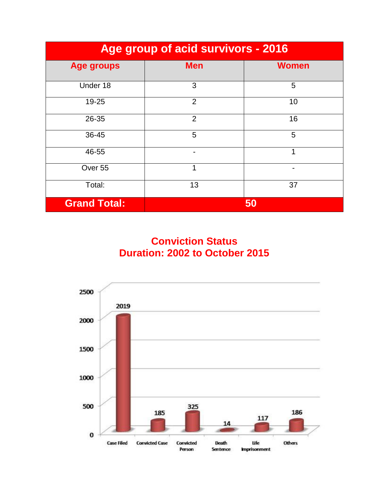| Age group of acid survivors - 2016 |                |              |  |
|------------------------------------|----------------|--------------|--|
| <b>Age groups</b>                  | <b>Men</b>     | <b>Women</b> |  |
| Under 18                           | 3              | 5            |  |
| $19 - 25$                          | $\overline{2}$ | 10           |  |
| 26-35                              | $\overline{2}$ | 16           |  |
| 36-45                              | 5              | 5            |  |
| 46-55                              |                | 1            |  |
| Over 55                            | 1              | -            |  |
| Total:                             | 13             | 37           |  |
| <b>Grand Total:</b>                |                | 50           |  |

**Conviction Status Duration: 2002 to October 2015**